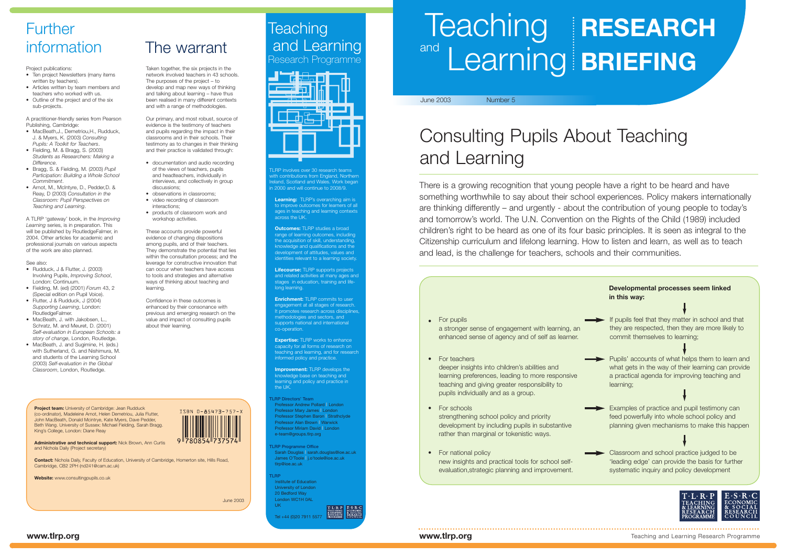**Learning:** TLRP's overarching aim is to improve outcomes for learners of all ages in teaching and learning contexts across the UK.

**Outcomes:** TLRP studies a broad range of learning outcomes, including the acquisition of skill, understanding, knowledge and qualifications and the development of attitudes, values and identities relevant to a learning society

**Expertise:** TLRP works to enhance capacity for all forms of research on eaching and learning, and for research informed policy and practice.

**Improvement:** TLRP develops the knowledge base on teaching and learning and policy and practice in the UK.

**Lifecourse:** TLRP supports projects and related activities at many ages and stages in education, training and lifelong learning.

**Enrichment:** TLRP commits to user engagement at all stages of research. It promotes research across disciplines methodologies and sectors, and supports national and international co-operation

and Learning Research Programme

**Teaching** 

LRP involves over 30 research teams ith contributions from England, Northerr land, Scotland and Wales. Work began 1 2000 and will continue to 2008/9.

# Teaching **RESEARCH** and Learning **BRIEFING**

**TLRP Directors' Team** Professor Andrew Pollard **|** London Professor Mary James **|** London Professor Stephen Baron **|** Strathclyde Professor Alan Brown **|** Warwick Professor Miriam David **|** London e-team@groups.tlrp.org

**TLRP Programme Office** Sarah Douglas **|** sarah.douglas@ioe.ac.uk James O'Toole **|** j.o'toole@ioe.ac.uk tlrp@ioe.ac.uk

**TLRP** Institute of Education University of London 20 Bedford Way London WC1H 0AL UK

Tel +44 (0)20 7911 5577

# Consulting Pupils About Teaching and Learning

- If pupils feel that they matter in school and that they are respected, then they are more likely to commit themselves to learning;
- Pupils' accounts of what helps them to learn and what gets in the way of their learning can provide a practical agenda for improving teaching and learning;
- Examples of practice and pupil testimony can feed powerfully into whole school policy and planning given mechanisms to make this happen
- Classroom and school practice judged to be 'leading edge' can provide the basis for further systematic inquiry and policy development



- Ten project Newsletters (many items written by teachers).
- Articles written by team members and teachers who worked with us.
- Outline of the project and of the six sub-projects.

There is a growing recognition that young people have a right to be heard and have something worthwhile to say about their school experiences. Policy makers internationally are thinking differently – and urgently - about the contribution of young people to today's and tomorrow's world. The U.N. Convention on the Rights of the Child (1989) included children's right to be heard as one of its four basic principles. It is seen as integral to the Citizenship curriculum and lifelong learning. How to listen and learn, as well as to teach and lead, is the challenge for teachers, schools and their communities.

- MacBeath, J., Demetriou, H., Rudduck, J. & Myers, K. (2003) *Consulting Pupils: A Toolkit for Teachers*.
- Fielding, M. & Bragg, S. (2003) *Students as Researchers: Making a Difference*.
- Bragg, S. & Fielding, M. (2003) *Pupil Participation: Building a Whole School Commitment*.
- Arnot, M., McIntyre, D., Pedder,D. & Reay, D (2003) *Consultation in the Classroom: Pupil Perspectives on Teaching and Learning*.

### June 2003 Number 5

For pupils **•** a stronger sense of engagement with learning, an enhanced sense of agency and of self as learner.

- For teachers **•** deeper insights into children's abilities and learning preferences, leading to more responsive teaching and giving greater responsibility to pupils individually and as a group.
- For schools **•** strengthening school policy and priority development by including pupils in substantive rather than marginal or tokenistic ways.
- For national policy **•**new insights and practical tools for school selfevaluation,strategic planning and improvement.

### **Developmental processes seem linked in this way:**

information The warrant

# **Further**

Project publications:

A practitioner-friendly series from Pearson Publishing, Cambridge:

A TLRP 'gateway' book, in the *Improving Learning* series, is in preparation. This will be published by RoutledgeFalmer, in 2004. Other articles for academic and professional journals on various aspects of the work are also planned.

#### See also:

- Rudduck, J & Flutter, J. (2003) Involving Pupils, *Improving School*, London: Continuum.
- Fielding, M. (ed) (2001) *Forum* 43, 2 (Special edition on Pupil Voice).
- Flutter, J & Rudduck, J (2004) *Supporting Learning*, London: RoutledgeFalmer.
- MacBeath, J. with Jakobsen, L., Schratz, M. and Meuret, D. (2001) *Self-evaluation in European Schools: a story of change*, London, Routledge.
- MacBeath, J. and Sugimine, H. (eds.) with Sutherland, G. and Nishimura, M. and students of the Learning School (2003) *Self-evaluation in the Global Classroom*, London, Routledge.

Taken together, the six projects in the network involved teachers in 43 schools. The purposes of the project – to develop and map new ways of thinking and talking about learning – have thus been realised in many different contexts and with a range of methodologies.

Our primary, and most robust, source of evidence is the testimony of teachers and pupils regarding the impact in their classrooms and in their schools. Their testimony as to changes in their thinking and their practice is validated through:

- documentation and audio recording of the views of teachers, pupils and headteachers, individually in interviews, and collectively in group discussions;
- observations in classrooms;
- video recording of classroom interactions;
- products of classroom work and workshop activities.

These accounts provide powerful evidence of changing dispositions among pupils, and of their teachers. They demonstrate the potential that lies within the consultation process; and the leverage for constructive innovation that can occur when teachers have access to tools and strategies and alternative ways of thinking about teaching and learning.

Confidence in these outcomes is enhanced by their consonance with previous and emerging research on the value and impact of consulting pupils about their learning.

**Project team:** University of Cambridge: Jean Rudduck

(co-ordinator), Madeleine Arnot, Helen Demetriou, Julia Flutter, John MacBeath, Donald Mcintrye, Kate Myers, Dave Pedder, Beth Wang. University of Sussex: Michael Fielding, Sarah Bragg. King's College, London: Diane Reay

**Administrative and technical support:** Nick Brown, Ann Curtis



and Nichola Daily (Project secretary)

**Contact:** Nichola Daily, Faculty of Education, University of Cambridge, Homerton site, Hills Road,

Cambridge, CB2 2PH (nd241@cam.ac.uk) **Website:** www.consultingpupils.co.uk